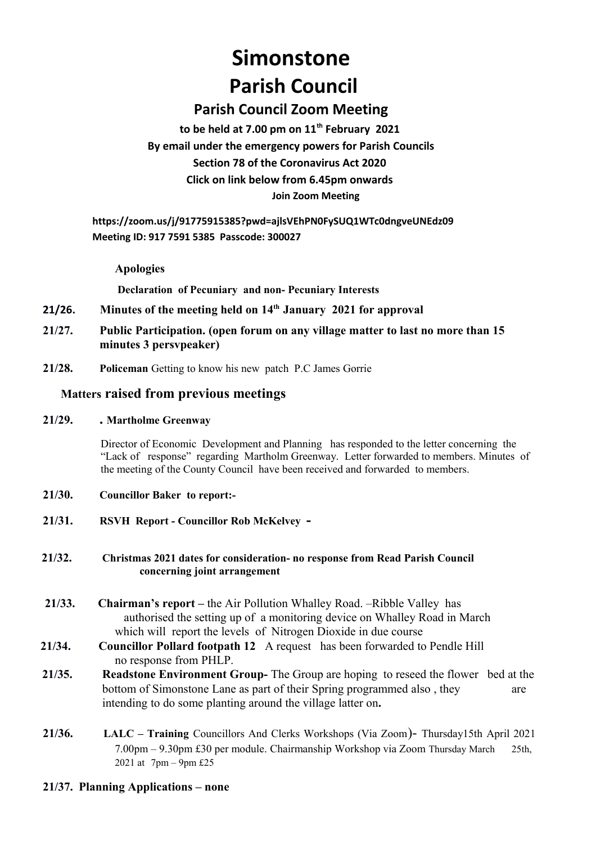# **Simonstone Parish Council**

# **Parish Council Zoom Meeting**

**to be held at 7.00 pm on 11th February 2021 By email under the emergency powers for Parish Councils Section 78 of the Coronavirus Act 2020 Click on link below from 6.45pm onwards Join Zoom Meeting**

**https://zoom.us/j/91775915385?pwd=ajlsVEhPN0FySUQ1WTc0dngveUNEdz09 Meeting ID: 917 7591 5385 Passcode: 300027**

# **Apologies**

 **Declaration of Pecuniary and non- Pecuniary Interests**

- **21/26. Minutes of the meeting held on 14th January 2021 for approval**
- **21/27. Public Participation. (open forum on any village matter to last no more than 15 minutes 3 persvpeaker)**
- **21/28. Policeman** Getting to know his new patch P.C James Gorrie

# **Matters raised from previous meetings**

# **21/29. . Martholme Greenway**

Director of Economic Development and Planning has responded to the letter concerning the "Lack of response" regarding Martholm Greenway. Letter forwarded to members. Minutes of the meeting of the County Council have been received and forwarded to members.

- **21/30. Councillor Baker to report:-**
- **21/31. RSVH Report Councillor Rob McKelvey -**

# **21/32. Christmas 2021 dates for consideration- no response from Read Parish Council concerning joint arrangement**

- **21/33. Chairman's report** the Air Pollution Whalley Road. –Ribble Valley has authorised the setting up of a monitoring device on Whalley Road in March which will report the levels of Nitrogen Dioxide in due course
- **21/34. Councillor Pollard footpath 12** A request has been forwarded to Pendle Hill no response from PHLP.
- **21/35. Readstone Environment Group-** The Group are hoping to reseed the flower bed at the bottom of Simonstone Lane as part of their Spring programmed also, they are intending to do some planting around the village latter on**.**
- **21/36. LALC Training** Councillors And Clerks Workshops (Via Zoom)- Thursday15th April 2021 7.00pm – 9.30pm £30 per module. Chairmanship Workshop via Zoom Thursday March 25th, 2021 at  $7 \text{pm} - 9 \text{pm} \pounds 25$

# **21/37. Planning Applications – none**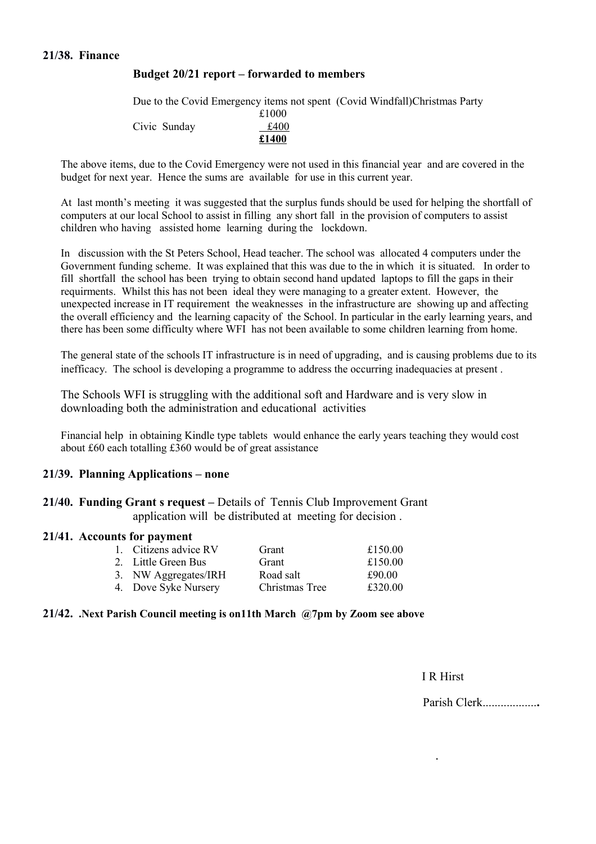# **21/38. Finance**

# **Budget 20/21 report – forwarded to members**

|              |       | Due to the Covid Emergency items not spent (Covid Windfall) Christmas Party |
|--------------|-------|-----------------------------------------------------------------------------|
|              | £1000 |                                                                             |
| Civic Sunday | £400  |                                                                             |
|              | £1400 |                                                                             |

The above items, due to the Covid Emergency were not used in this financial year and are covered in the budget for next year. Hence the sums are available for use in this current year.

At last month's meeting it was suggested that the surplus funds should be used for helping the shortfall of computers at our local School to assist in filling any short fall in the provision of computers to assist children who having assisted home learning during the lockdown.

In discussion with the St Peters School, Head teacher. The school was allocated 4 computers under the Government funding scheme. It was explained that this was due to the in which it is situated. In order to fill shortfall the school has been trying to obtain second hand updated laptops to fill the gaps in their requirments. Whilst this has not been ideal they were managing to a greater extent. However, the unexpected increase in IT requirement the weaknesses in the infrastructure are showing up and affecting the overall efficiency and the learning capacity of the School. In particular in the early learning years, and there has been some difficulty where WFI has not been available to some children learning from home.

The general state of the schools IT infrastructure is in need of upgrading, and is causing problems due to its inefficacy. The school is developing a programme to address the occurring inadequacies at present .

The Schools WFI is struggling with the additional soft and Hardware and is very slow in downloading both the administration and educational activities

Financial help in obtaining Kindle type tablets would enhance the early years teaching they would cost about £60 each totalling £360 would be of great assistance

.

#### **21/39. Planning Applications – none**

**21/40. Funding Grant s request –** Details of Tennis Club Improvement Grant application will be distributed at meeting for decision .

#### **21/41. Accounts for payment**

| 1. Citizens advice RV | Grant          | £150.00 |
|-----------------------|----------------|---------|
| 2. Little Green Bus   | Grant          | £150.00 |
| 3. NW Aggregates/IRH  | Road salt      | £90.00  |
| 4. Dove Syke Nursery  | Christmas Tree | £320.00 |

#### **21/42. .Next Parish Council meeting is on11th March @7pm by Zoom see above**

I R Hirst

Parish Clerk..................**.**